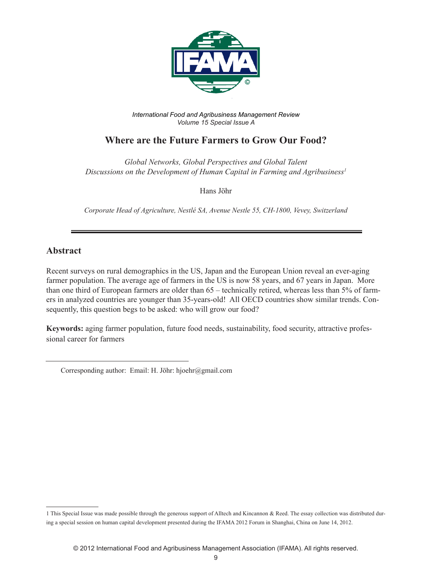

*International Food and Agribusiness Management Review Volume 15 Special Issue A*

## **Where are the Future Farmers to Grow Our Food?**

*Global Networks, Global Perspectives and Global Talent Discussions on the Development of Human Capital in Farming and Agribusiness1*

Hans Jöhr

*Corporate Head of Agriculture, Nestlé SA, Avenue Nestle 55, CH-1800, Vevey, Switzerland* 

## **Abstract**

Recent surveys on rural demographics in the US, Japan and the European Union reveal an ever-aging farmer population. The average age of farmers in the US is now 58 years, and 67 years in Japan. More than one third of European farmers are older than 65 – technically retired, whereas less than 5% of farmers in analyzed countries are younger than 35-years-old! All OECD countries show similar trends. Consequently, this question begs to be asked: who will grow our food?

**Keywords:** aging farmer population, future food needs, sustainability, food security, attractive professional career for farmers

Corresponding author: Email: H. Jöhr: hjoehr@gmail.com

<sup>1</sup> This Special Issue was made possible through the generous support of Alltech and Kincannon & Reed. The essay collection was distributed during a special session on human capital development presented during the IFAMA 2012 Forum in Shanghai, China on June 14, 2012.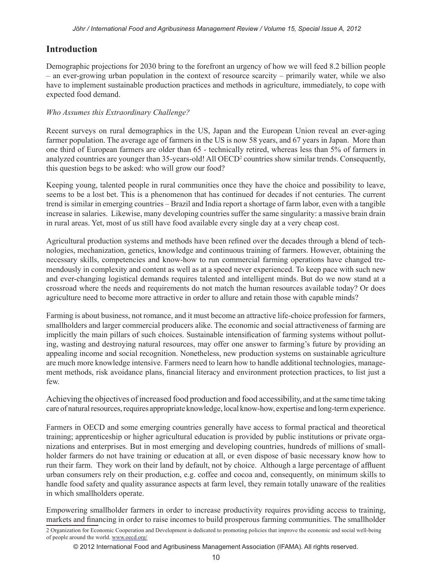## **Introduction**

Demographic projections for 2030 bring to the forefront an urgency of how we will feed 8.2 billion people – an ever-growing urban population in the context of resource scarcity – primarily water, while we also have to implement sustainable production practices and methods in agriculture, immediately, to cope with expected food demand.

## *Who Assumes this Extraordinary Challenge?*

Recent surveys on rural demographics in the US, Japan and the European Union reveal an ever-aging farmer population. The average age of farmers in the US is now 58 years, and 67 years in Japan. More than one third of European farmers are older than 65 - technically retired, whereas less than 5% of farmers in analyzed countries are younger than 35-years-old! All OECD<sup>2</sup> countries show similar trends. Consequently, this question begs to be asked: who will grow our food?

Keeping young, talented people in rural communities once they have the choice and possibility to leave, seems to be a lost bet. This is a phenomenon that has continued for decades if not centuries. The current trend is similar in emerging countries – Brazil and India report a shortage of farm labor, even with a tangible increase in salaries. Likewise, many developing countries suffer the same singularity: a massive brain drain in rural areas. Yet, most of us still have food available every single day at a very cheap cost.

Agricultural production systems and methods have been refined over the decades through a blend of technologies, mechanization, genetics, knowledge and continuous training of farmers. However, obtaining the necessary skills, competencies and know-how to run commercial farming operations have changed tremendously in complexity and content as well as at a speed never experienced. To keep pace with such new and ever-changing logistical demands requires talented and intelligent minds. But do we now stand at a crossroad where the needs and requirements do not match the human resources available today? Or does agriculture need to become more attractive in order to allure and retain those with capable minds?

Farming is about business, not romance, and it must become an attractive life-choice profession for farmers, smallholders and larger commercial producers alike. The economic and social attractiveness of farming are implicitly the main pillars of such choices. Sustainable intensification of farming systems without polluting, wasting and destroying natural resources, may offer one answer to farming's future by providing an appealing income and social recognition. Nonetheless, new production systems on sustainable agriculture are much more knowledge intensive. Farmers need to learn how to handle additional technologies, management methods, risk avoidance plans, financial literacy and environment protection practices, to list just a few.

Achieving the objectives of increased food production and food accessibility, and at the same time taking care of natural resources, requires appropriate knowledge, local know-how, expertise and long-term experience.

Farmers in OECD and some emerging countries generally have access to formal practical and theoretical training; apprenticeship or higher agricultural education is provided by public institutions or private organizations and enterprises. But in most emerging and developing countries, hundreds of millions of smallholder farmers do not have training or education at all, or even dispose of basic necessary know how to run their farm. They work on their land by default, not by choice. Although a large percentage of affluent urban consumers rely on their production, e.g. coffee and cocoa and, consequently, on minimum skills to handle food safety and quality assurance aspects at farm level, they remain totally unaware of the realities in which smallholders operate.

Empowering smallholder farmers in order to increase productivity requires providing access to training, markets and financing in order to raise incomes to build prosperous farming communities. The smallholder

<sup>2</sup> Organization for Economic Cooperation and Development is dedicated to promoting policies that improve the economic and social well-being of people around the world. www.oecd.org/

<sup>© 2012</sup> International Food and Agribusiness Management Association (IFAMA). All rights reserved.